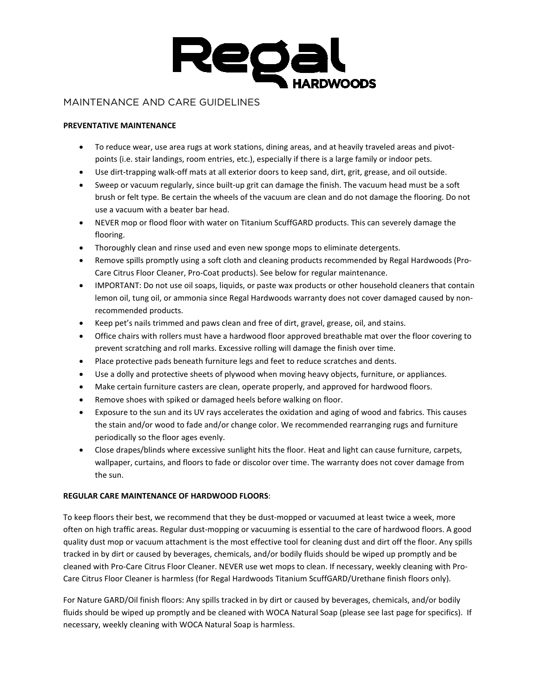

# MAINTENANCE AND CARE GUIDELINES

## **PREVENTATIVE MAINTENANCE**

- To reduce wear, use area rugs at work stations, dining areas, and at heavily traveled areas and pivotpoints (i.e. stair landings, room entries, etc.), especially if there is a large family or indoor pets.
- Use dirt-trapping walk-off mats at all exterior doors to keep sand, dirt, grit, grease, and oil outside.
- Sweep or vacuum regularly, since built-up grit can damage the finish. The vacuum head must be a soft brush or felt type. Be certain the wheels of the vacuum are clean and do not damage the flooring. Do not use a vacuum with a beater bar head.
- NEVER mop or flood floor with water on Titanium ScuffGARD products. This can severely damage the flooring.
- Thoroughly clean and rinse used and even new sponge mops to eliminate detergents.
- Remove spills promptly using a soft cloth and cleaning products recommended by Regal Hardwoods (Pro-Care Citrus Floor Cleaner, Pro-Coat products). See below for regular maintenance.
- IMPORTANT: Do not use oil soaps, liquids, or paste wax products or other household cleaners that contain lemon oil, tung oil, or ammonia since Regal Hardwoods warranty does not cover damaged caused by nonrecommended products.
- Keep pet's nails trimmed and paws clean and free of dirt, gravel, grease, oil, and stains.
- Office chairs with rollers must have a hardwood floor approved breathable mat over the floor covering to prevent scratching and roll marks. Excessive rolling will damage the finish over time.
- Place protective pads beneath furniture legs and feet to reduce scratches and dents.
- Use a dolly and protective sheets of plywood when moving heavy objects, furniture, or appliances.
- Make certain furniture casters are clean, operate properly, and approved for hardwood floors.
- Remove shoes with spiked or damaged heels before walking on floor.
- Exposure to the sun and its UV rays accelerates the oxidation and aging of wood and fabrics. This causes the stain and/or wood to fade and/or change color. We recommended rearranging rugs and furniture periodically so the floor ages evenly.
- Close drapes/blinds where excessive sunlight hits the floor. Heat and light can cause furniture, carpets, wallpaper, curtains, and floors to fade or discolor over time. The warranty does not cover damage from the sun.

# **REGULAR CARE MAINTENANCE OF HARDWOOD FLOORS**:

To keep floors their best, we recommend that they be dust-mopped or vacuumed at least twice a week, more often on high traffic areas. Regular dust-mopping or vacuuming is essential to the care of hardwood floors. A good quality dust mop or vacuum attachment is the most effective tool for cleaning dust and dirt off the floor. Any spills tracked in by dirt or caused by beverages, chemicals, and/or bodily fluids should be wiped up promptly and be cleaned with Pro-Care Citrus Floor Cleaner. NEVER use wet mops to clean. If necessary, weekly cleaning with Pro-Care Citrus Floor Cleaner is harmless (for Regal Hardwoods Titanium ScuffGARD/Urethane finish floors only).

For Nature GARD/Oil finish floors: Any spills tracked in by dirt or caused by beverages, chemicals, and/or bodily fluids should be wiped up promptly and be cleaned with WOCA Natural Soap (please see last page for specifics). If necessary, weekly cleaning with WOCA Natural Soap is harmless.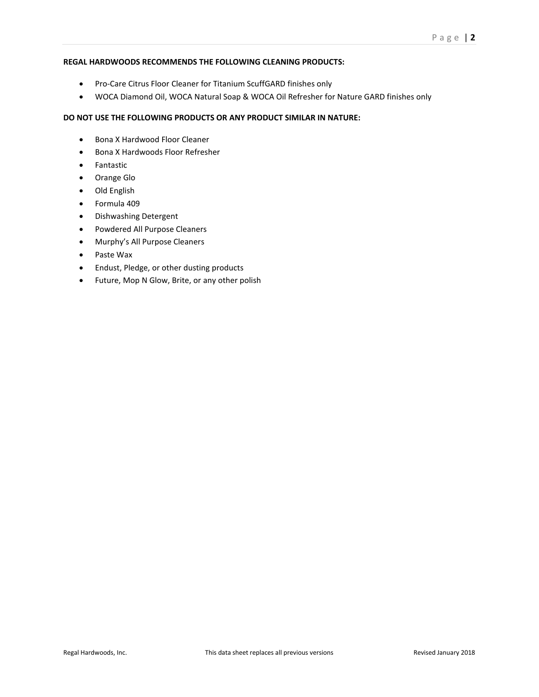#### **REGAL HARDWOODS RECOMMENDS THE FOLLOWING CLEANING PRODUCTS:**

- Pro-Care Citrus Floor Cleaner for Titanium ScuffGARD finishes only
- WOCA Diamond Oil, WOCA Natural Soap & WOCA Oil Refresher for Nature GARD finishes only

# **DO NOT USE THE FOLLOWING PRODUCTS OR ANY PRODUCT SIMILAR IN NATURE:**

- Bona X Hardwood Floor Cleaner
- Bona X Hardwoods Floor Refresher
- Fantastic
- Orange Glo
- Old English
- Formula 409
- Dishwashing Detergent
- Powdered All Purpose Cleaners
- Murphy's All Purpose Cleaners
- Paste Wax
- Endust, Pledge, or other dusting products
- Future, Mop N Glow, Brite, or any other polish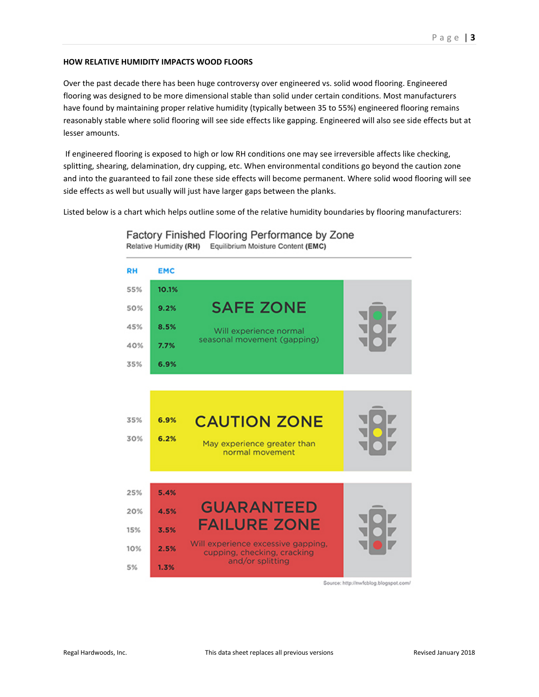#### **HOW RELATIVE HUMIDITY IMPACTS WOOD FLOORS**

Over the past decade there has been huge controversy over engineered vs. solid wood flooring. Engineered flooring was designed to be more dimensional stable than solid under certain conditions. Most manufacturers have found by maintaining proper relative humidity (typically between 35 to 55%) engineered flooring remains reasonably stable where solid flooring will see side effects like gapping. Engineered will also see side effects but at lesser amounts.

If engineered flooring is exposed to high or low RH conditions one may see irreversible affects like checking, splitting, shearing, delamination, dry cupping, etc. When environmental conditions go beyond the caution zone and into the guaranteed to fail zone these side effects will become permanent. Where solid wood flooring will see side effects as well but usually will just have larger gaps between the planks.

Listed below is a chart which helps outline some of the relative humidity boundaries by flooring manufacturers:

Factory Finished Flooring Performance by Zone Relative Humidity (RH) Equilibrium Moisture Content (EMC)



Source: http://nwfcblog.blogspot.com/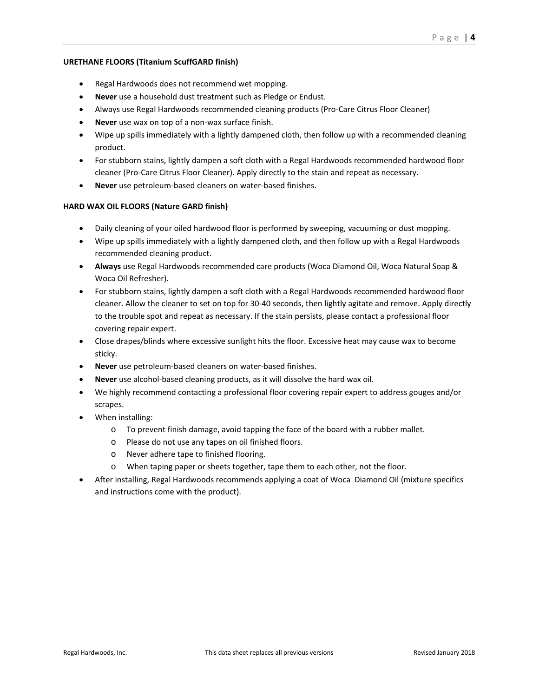## **URETHANE FLOORS (Titanium ScuffGARD finish)**

- Regal Hardwoods does not recommend wet mopping.
- **Never** use a household dust treatment such as Pledge or Endust.
- Always use Regal Hardwoods recommended cleaning products (Pro-Care Citrus Floor Cleaner)
- **Never** use wax on top of a non-wax surface finish.
- Wipe up spills immediately with a lightly dampened cloth, then follow up with a recommended cleaning product.
- For stubborn stains, lightly dampen a soft cloth with a Regal Hardwoods recommended hardwood floor cleaner (Pro-Care Citrus Floor Cleaner). Apply directly to the stain and repeat as necessary.
- **Never** use petroleum-based cleaners on water-based finishes.

#### **HARD WAX OIL FLOORS (Nature GARD finish)**

- Daily cleaning of your oiled hardwood floor is performed by sweeping, vacuuming or dust mopping.
- Wipe up spills immediately with a lightly dampened cloth, and then follow up with a Regal Hardwoods recommended cleaning product.
- **Always** use Regal Hardwoods recommended care products (Woca Diamond Oil, Woca Natural Soap & Woca Oil Refresher).
- For stubborn stains, lightly dampen a soft cloth with a Regal Hardwoods recommended hardwood floor cleaner. Allow the cleaner to set on top for 30-40 seconds, then lightly agitate and remove. Apply directly to the trouble spot and repeat as necessary. If the stain persists, please contact a professional floor covering repair expert.
- Close drapes/blinds where excessive sunlight hits the floor. Excessive heat may cause wax to become sticky.
- **Never** use petroleum-based cleaners on water-based finishes.
- **Never** use alcohol-based cleaning products, as it will dissolve the hard wax oil.
- We highly recommend contacting a professional floor covering repair expert to address gouges and/or scrapes.
- When installing:
	- $\circ$  To prevent finish damage, avoid tapping the face of the board with a rubber mallet.
	- o Please do not use any tapes on oil finished floors.
	- o Never adhere tape to finished flooring.
	- o When taping paper or sheets together, tape them to each other, not the floor.
- After installing, Regal Hardwoods recommends applying a coat of Woca Diamond Oil (mixture specifics and instructions come with the product).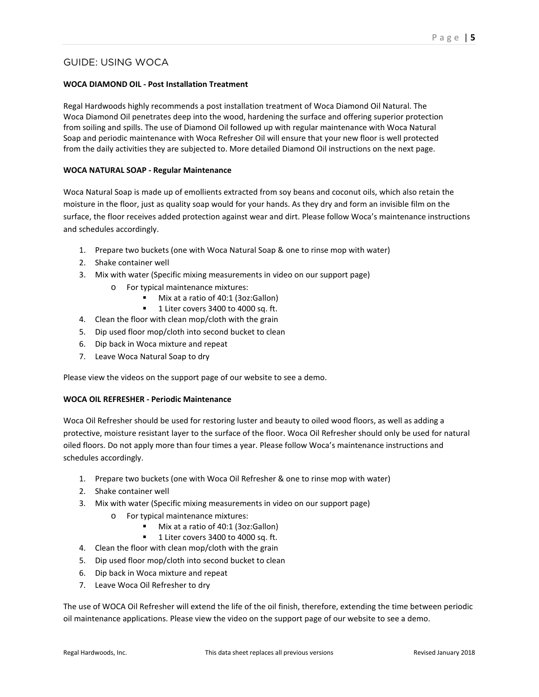# GUIDE: USING WOCA

# **WOCA DIAMOND OIL - Post Installation Treatment**

Regal Hardwoods highly recommends a post installation treatment of Woca Diamond Oil Natural. The Woca Diamond Oil penetrates deep into the wood, hardening the surface and offering superior protection from soiling and spills. The use of Diamond Oil followed up with regular maintenance with Woca Natural Soap and periodic maintenance with Woca Refresher Oil will ensure that your new floor is well protected from the daily activities they are subjected to. More detailed Diamond Oil instructions on the next page.

## **WOCA NATURAL SOAP - Regular Maintenance**

Woca Natural Soap is made up of emollients extracted from soy beans and coconut oils, which also retain the moisture in the floor, just as quality soap would for your hands. As they dry and form an invisible film on the surface, the floor receives added protection against wear and dirt. Please follow Woca's maintenance instructions and schedules accordingly.

- 1. Prepare two buckets (one with Woca Natural Soap & one to rinse mop with water)
- 2. Shake container well
- 3. Mix with water (Specific mixing measurements in video on our support page)
	- o For typical maintenance mixtures:
		- Mix at a ratio of 40:1 (3oz:Gallon)
		- 1 Liter covers 3400 to 4000 sq. ft.
- 4. Clean the floor with clean mop/cloth with the grain
- 5. Dip used floor mop/cloth into second bucket to clean
- 6. Dip back in Woca mixture and repeat
- 7. Leave Woca Natural Soap to dry

Please view the videos on the support page of our website to see a demo.

# **WOCA OIL REFRESHER - Periodic Maintenance**

Woca Oil Refresher should be used for restoring luster and beauty to oiled wood floors, as well as adding a protective, moisture resistant layer to the surface of the floor. Woca Oil Refresher should only be used for natural oiled floors. Do not apply more than four times a year. Please follow Woca's maintenance instructions and schedules accordingly.

- 1. Prepare two buckets (one with Woca Oil Refresher & one to rinse mop with water)
- 2. Shake container well
- 3. Mix with water (Specific mixing measurements in video on our support page)
	- o For typical maintenance mixtures:
		- Mix at a ratio of 40:1 (3oz:Gallon)
		- <sup>1</sup> 1 Liter covers 3400 to 4000 sq. ft.
- 4. Clean the floor with clean mop/cloth with the grain
- 5. Dip used floor mop/cloth into second bucket to clean
- 6. Dip back in Woca mixture and repeat
- 7. Leave Woca Oil Refresher to dry

The use of WOCA Oil Refresher will extend the life of the oil finish, therefore, extending the time between periodic oil maintenance applications. Please view the video on the support page of our website to see a demo.